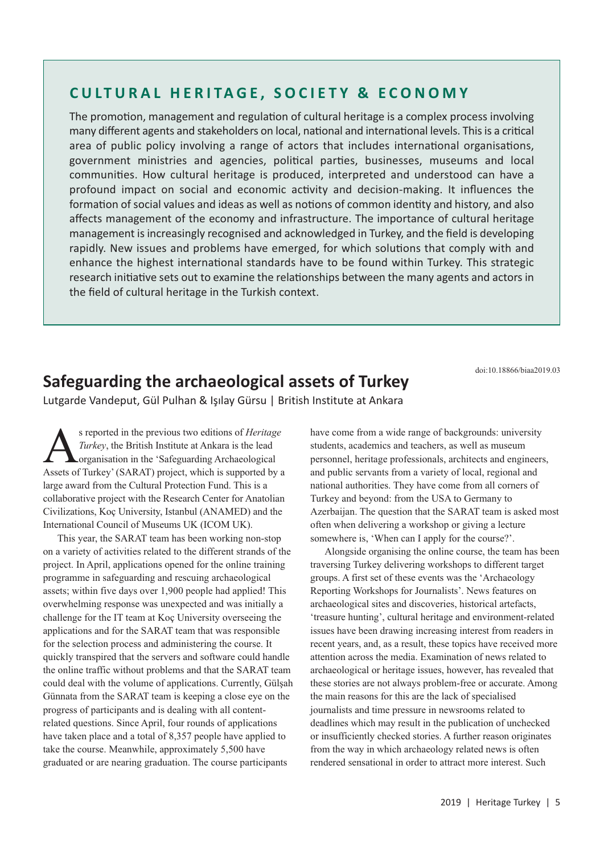## **CULTURAL HERITAGE, SOCIETY & ECONOMY**

The promotion, management and regulation of cultural heritage is a complex process involving many different agents and stakeholders on local, national and international levels. This is a critical area of public policy involving a range of actors that includes international organisations, government ministries and agencies, political parties, businesses, museums and local communities. How cultural heritage is produced, interpreted and understood can have a profound impact on social and economic activity and decision-making. It influences the formation of social values and ideas as well as notions of common identity and history, and also affects management of the economy and infrastructure. The importance of cultural heritage management is increasingly recognised and acknowledged in Turkey, and the field is developing rapidly. New issues and problems have emerged, for which solutions that comply with and enhance the highest international standards have to be found within Turkey. This strategic research initiative sets out to examine the relationships between the many agents and actors in the field of cultural heritage in the Turkish context.

doi:10.18866/biaa2019.03

## **Safeguarding the archaeological assets of Turkey**

Lutgarde Vandeput, Gül Pulhan & Işılay Gürsu | British Institute at Ankara

**As reported in the previous two editions of** *Heritage*<br>Turkey, the British Institute at Ankara is the lead<br>organisation in the 'Safeguarding Archaeological<br>Assets of Turkey' (SARAT) project which is supported by *Turkey*, the British Institute at Ankara is the lead organisation in the 'Safeguarding Archaeological Assets of Turkey' (SARAT) project, which is supported by a large award from the Cultural Protection Fund. This is a collaborative project with the Research Center for Anatolian Civilizations, Koç University, Istanbul (ANAMED) and the International Council of Museums UK (ICOM UK).

This year, the SARAT team has been working non-stop on a variety of activities related to the different strands of the project. In April, applications opened for the online training programme in safeguarding and rescuing archaeological assets; within five days over 1,900 people had applied! This overwhelming response was unexpected and was initially a challenge for the IT team at Koç University overseeing the applications and for the SARAT team that was responsible for the selection process and administering the course. It quickly transpired that the servers and software could handle the online traffic without problems and that the SARAT team could deal with the volume of applications. Currently, Gülşah Günnata from the SARAT team is keeping a close eye on the progress of participants and is dealing with all contentrelated questions. Since April, four rounds of applications have taken place and a total of 8,357 people have applied to take the course. Meanwhile, approximately 5,500 have graduated or are nearing graduation. The course participants

have come from a wide range of backgrounds: university students, academics and teachers, as well as museum personnel, heritage professionals, architects and engineers, and public servants from a variety of local, regional and national authorities. They have come from all corners of Turkey and beyond: from the USA to Germany to Azerbaijan. The question that the SARAT team is asked most often when delivering a workshop or giving a lecture somewhere is, 'When can I apply for the course?'.

Alongside organising the online course, the team has been traversing Turkey delivering workshops to different target groups. A first set of these events was the 'Archaeology Reporting Workshops for Journalists'. News features on archaeological sites and discoveries, historical artefacts, 'treasure hunting', cultural heritage and environment-related issues have been drawing increasing interest from readers in recent years, and, as a result, these topics have received more attention across the media. Examination of news related to archaeological or heritage issues, however, has revealed that these stories are not always problem-free or accurate. Among the main reasons for this are the lack of specialised journalists and time pressure in newsrooms related to deadlines which may result in the publication of unchecked or insufficiently checked stories. A further reason originates from the way in which archaeology related news is often rendered sensational in order to attract more interest. Such